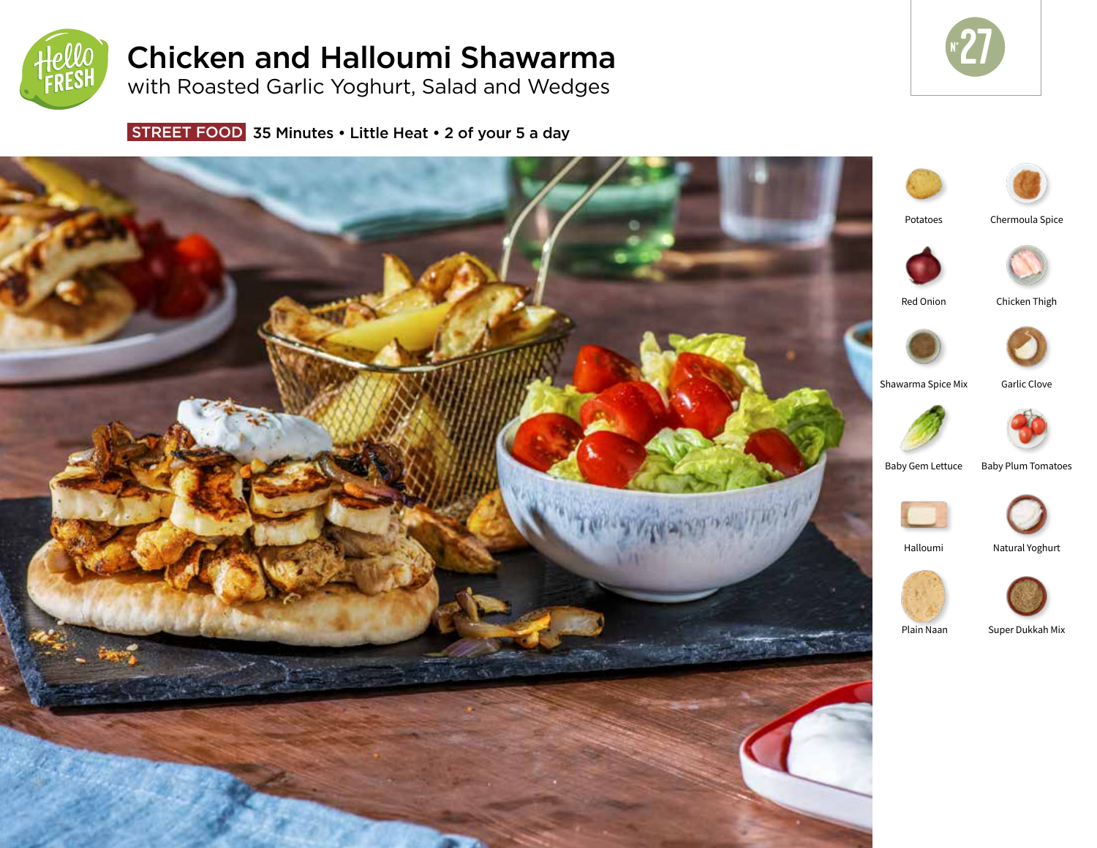

# Chicken and Halloumi Shawarma

with Roasted Garlic Yoghurt, Salad and Wedges



STREET FOOD 35 Minutes • Little Heat • 2 of your 5 a day